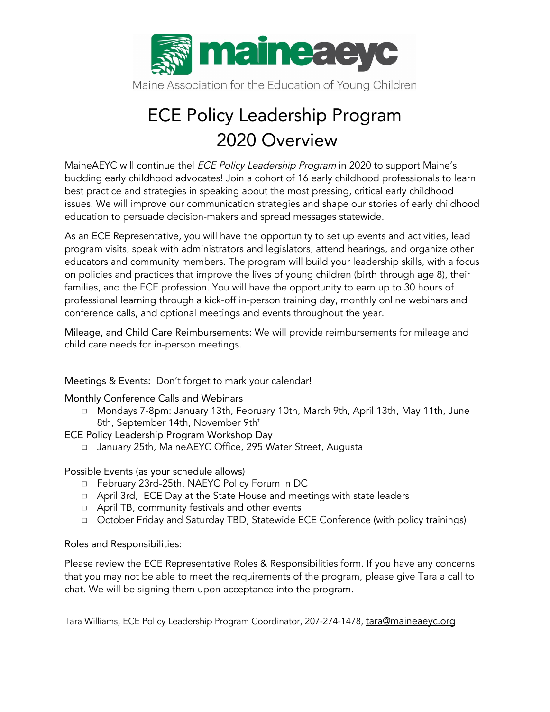

Maine Association for the Education of Young Children

## ECE Policy Leadership Program 2020 Overview

MaineAEYC will continue thel *ECE Policy Leadership Program* in 2020 to support Maine's budding early childhood advocates! Join a cohort of 16 early childhood professionals to learn best practice and strategies in speaking about the most pressing, critical early childhood issues. We will improve our communication strategies and shape our stories of early childhood education to persuade decision-makers and spread messages statewide.

As an ECE Representative, you will have the opportunity to set up events and activities, lead program visits, speak with administrators and legislators, attend hearings, and organize other educators and community members. The program will build your leadership skills, with a focus on policies and practices that improve the lives of young children (birth through age 8), their families, and the ECE profession. You will have the opportunity to earn up to 30 hours of professional learning through a kick-off in-person training day, monthly online webinars and conference calls, and optional meetings and events throughout the year.

Mileage, and Child Care Reimbursements: We will provide reimbursements for mileage and child care needs for in-person meetings.

Meetings & Events: Don't forget to mark your calendar!

Monthly Conference Calls and Webinars

◻ Mondays 7-8pm: January 13th, February 10th, March 9th, April 13th, May 11th, June 8th, September 14th, November 9th $^{\rm t}$ 

ECE Policy Leadership Program Workshop Day

◻ January 25th, MaineAEYC Office, 295 Water Street, Augusta

Possible Events (as your schedule allows)

- ◻ February 23rd-25th, NAEYC Policy Forum in DC
- ◻ April 3rd, ECE Day at the State House and meetings with state leaders
- ◻ April TB, community festivals and other events
- ◻ October Friday and Saturday TBD, Statewide ECE Conference (with policy trainings)

### Roles and Responsibilities:

Please review the ECE Representative Roles & Responsibilities form. If you have any concerns that you may not be able to meet the requirements of the program, please give Tara a call to chat. We will be signing them upon acceptance into the program.

Tara Williams, ECE Policy Leadership Program Coordinator, 207-274-1478, [tara@maineaeyc.org](mailto:tara@maineaeyc.org)